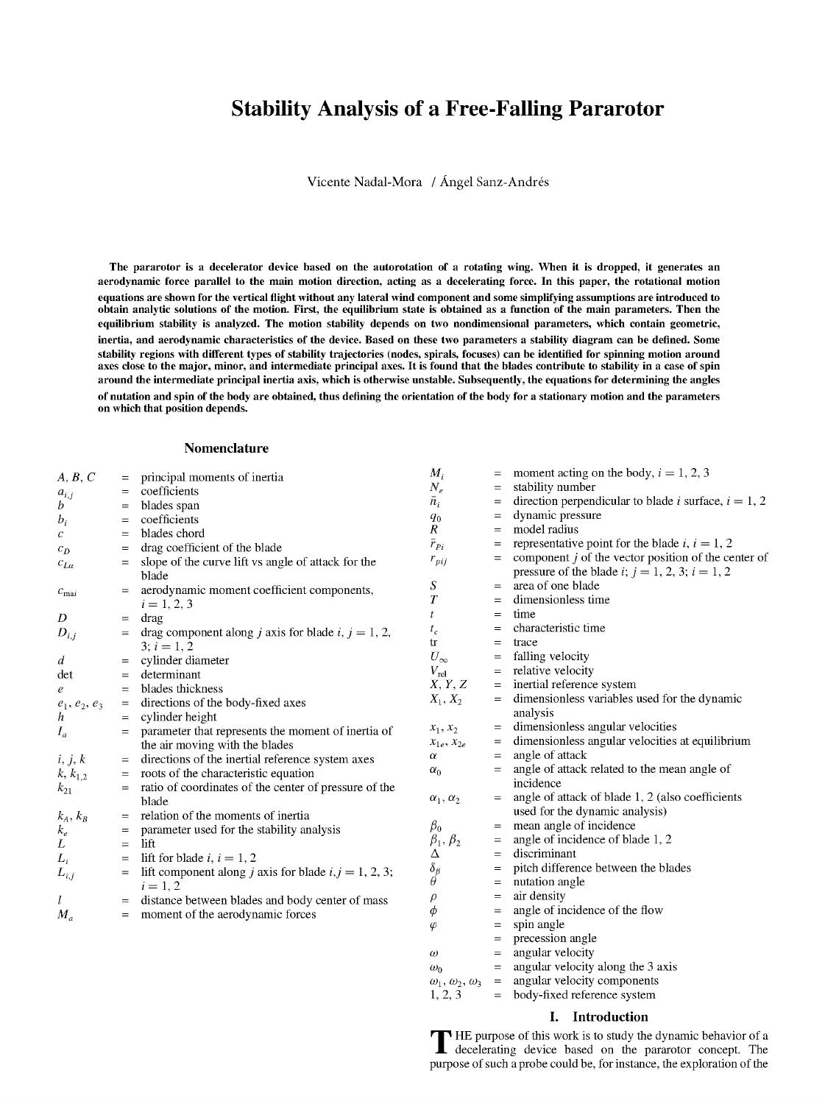# **Stability Analysis of a Free-Falling Pararotor**

Vicente Nadal-Mora / Ángel Sanz-Andrés

**The pararotor is a decelerator device based on the autorotation of a rotating wing. When it is dropped, it generates an aerodynamic force parallel to the main motion direction, acting as a decelerating force. In this paper, the rotational motion equations are shown for the vertical flight without any lateral wind component and some simplifying assumptions are introduced to obtain analytic solutions of the motion. First, the equilibrium state is obtained as a function of the main parameters. Then the equilibrium stability is analyzed. The motion stability depends on two nondimensional parameters, which contain geometric, inertia, and aerodynamic characteristics of the device. Based on these two parameters a stability diagram can be defined. Some stability regions with different types of stability trajectories (nodes, spirals, focuses) can be identified for spinning motion around axes close to the major, minor, and intermediate principal axes. It is found that the blades contribute to stability in a case of spin around the intermediate principal inertia axis, which is otherwise unstable. Subsequently, the equations for determining the angles of nutation and spin of the body are obtained, thus defining the orientation of the body for a stationary motion and the parameters on which that position depends.** 

## **Nomenclature**

| A, B, C          |                                     | $=$ principal moments of inertia                        | $M_i$                          |     | = moment acting on the body, $i = 1, 2, 3$                    |
|------------------|-------------------------------------|---------------------------------------------------------|--------------------------------|-----|---------------------------------------------------------------|
| $a_{i,j}$        | $=$                                 | coefficients                                            | $N_e$                          | $=$ | stability number                                              |
| b                | $=$                                 | blades span                                             | $\bar{n}_i$                    | $=$ | direction perpendicular to blade <i>i</i> surface, $i = 1, 2$ |
| $b_i$            | $\qquad \qquad =$                   | coefficients                                            | $q_0$                          | $=$ | dynamic pressure                                              |
| $\boldsymbol{c}$ | $=$                                 | blades chord                                            | R                              | $=$ | model radius                                                  |
| $c_D$            | $=$                                 | drag coefficient of the blade                           | $\bar{r}_{pi}$                 | $=$ | representative point for the blade i, $i = 1, 2$              |
| $c_{L\alpha}$    | $=$                                 | slope of the curve lift vs angle of attack for the      | $r_{pij}$                      | $=$ | component $j$ of the vector position of the center of         |
|                  |                                     | blade                                                   |                                |     | pressure of the blade <i>i</i> ; $j = 1, 2, 3$ ; $i = 1, 2$   |
| $c_{\text{mai}}$ | $=$                                 | aerodynamic moment coefficient components,              | S                              | $=$ | area of one blade                                             |
|                  |                                     | $i = 1, 2, 3$                                           | T                              | $=$ | dimensionless time                                            |
| D                | $=$                                 | drag                                                    | t                              | $=$ | time                                                          |
| $D_{i,j}$        | $=$                                 | drag component along j axis for blade i, $j = 1, 2$ ,   | $t_c$                          | $=$ | characteristic time                                           |
|                  |                                     | $3; i = 1, 2$                                           | tr                             | $=$ | trace                                                         |
| d                | $=$                                 | cylinder diameter                                       | $U_{\infty}$                   | $=$ | falling velocity                                              |
| det              | $=$                                 | determinant                                             | $V_{\rm rel}$                  | $=$ | relative velocity                                             |
| $\boldsymbol{e}$ | $\hspace*{0.4em} = \hspace*{0.4em}$ | blades thickness                                        | X, Y, Z                        | $=$ | inertial reference system                                     |
| $e_1, e_2, e_3$  | $=$                                 | directions of the body-fixed axes                       | $X_1, X_2$                     | $=$ | dimensionless variables used for the dynamic                  |
| h                | $=$                                 | cylinder height                                         |                                |     | analysis                                                      |
| $I_a$            | $\hspace*{0.4em} = \hspace*{0.4em}$ | parameter that represents the moment of inertia of      | $x_1, x_2$                     | $=$ | dimensionless angular velocities                              |
|                  |                                     | the air moving with the blades                          | $x_{1e}$ , $x_{2e}$            | $=$ | dimensionless angular velocities at equilibrium               |
| i, j, k          | $=$                                 | directions of the inertial reference system axes        | α                              | $=$ | angle of attack                                               |
| $k, k_{1,2}$     | $=$                                 | roots of the characteristic equation                    | $\alpha_0$                     | $=$ | angle of attack related to the mean angle of                  |
| $k_{21}$         | $=$                                 | ratio of coordinates of the center of pressure of the   |                                |     | incidence                                                     |
|                  |                                     | blade                                                   | $\alpha_1, \alpha_2$           | $=$ | angle of attack of blade 1, 2 (also coefficients              |
| $k_A, k_B$       | $=$                                 | relation of the moments of inertia                      |                                |     | used for the dynamic analysis)                                |
| $k_e$            | $=$                                 | parameter used for the stability analysis               | $\beta_0$                      | $=$ | mean angle of incidence                                       |
| L                | $=$                                 | lift                                                    | $\beta_1, \beta_2$             | $=$ | angle of incidence of blade 1, 2                              |
| $L_i$            | $=$                                 | lift for blade <i>i</i> , $i = 1, 2$                    | Δ                              | $=$ | discriminant                                                  |
| $L_{i,j}$        | $=$                                 | lift component along j axis for blade $i, j = 1, 2, 3;$ | $\delta_{\beta}$               | $=$ | pitch difference between the blades                           |
|                  |                                     | $i = 1, 2$                                              | $\ddot{\theta}$                | $=$ | nutation angle                                                |
|                  | $=$                                 | distance between blades and body center of mass         | $\rho$                         | $=$ | air density                                                   |
| $M_a$            | $=$                                 | moment of the aerodynamic forces                        | φ                              | $=$ | angle of incidence of the flow                                |
|                  |                                     |                                                         | $\varphi$                      | $=$ | spin angle                                                    |
|                  |                                     |                                                         |                                | $=$ | precession angle                                              |
|                  |                                     |                                                         | $\omega$                       | $=$ | angular velocity                                              |
|                  |                                     |                                                         | $\omega_0$                     | $=$ | angular velocity along the 3 axis                             |
|                  |                                     |                                                         | $\omega_1, \omega_2, \omega_3$ | $=$ | angular velocity components                                   |
|                  |                                     |                                                         | 1, 2, 3                        |     | $=$ body-fixed reference system                               |

1, 2, 3

# **I. Introduction**

**T** HE purpose of this work is to study the dynamic behavior of a decelerating device based on the pararotor concept. The purpose of such a probe could be, for instance, the exploration of the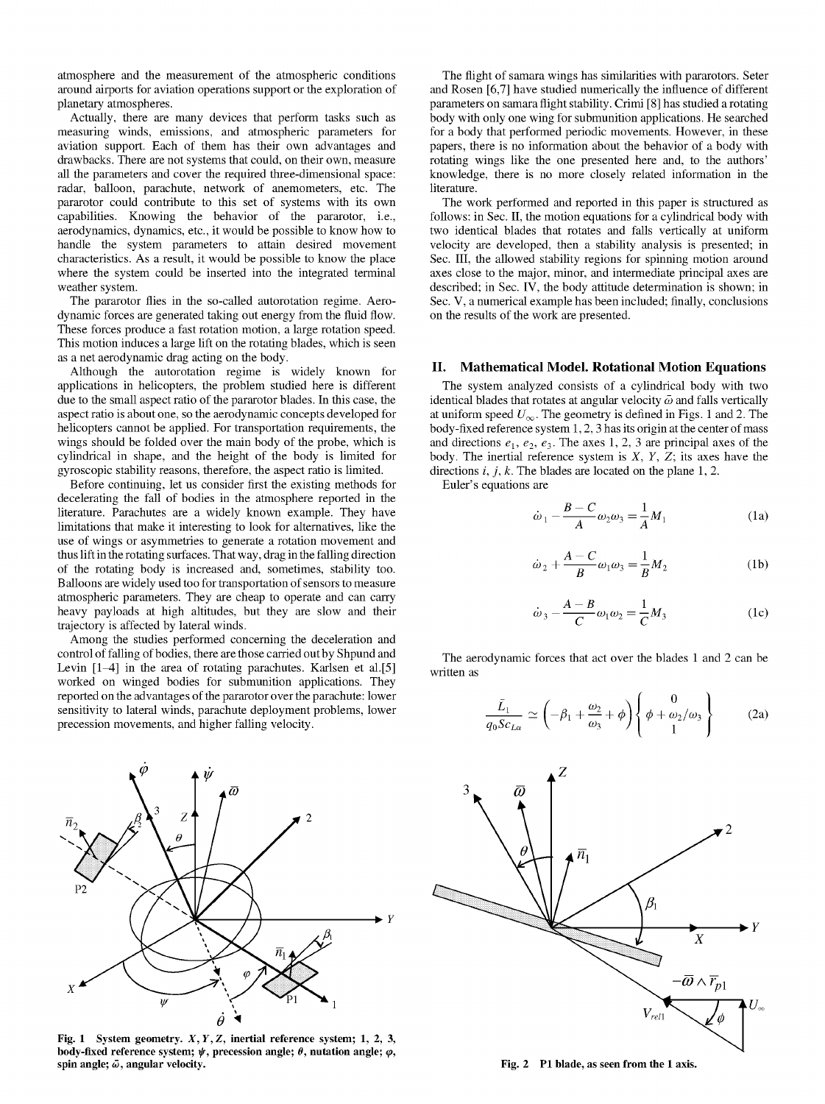atmosphere and the measurement of the atmospheric conditions around airports for aviation operations support or the exploration of planetary atmospheres.

Actually, there are many devices that perform tasks such as measuring winds, emissions, and atmospheric parameters for aviation support. Each of them has their own advantages and drawbacks. There are not systems that could, on their own, measure all the parameters and cover the required three-dimensional space: radar, balloon, parachute, network of anemometers, etc. The pararotor could contribute to this set of systems with its own capabilities. Knowing the behavior of the pararotor, i.e., aerodynamics, dynamics, etc., it would be possible to know how to handle the system parameters to attain desired movement characteristics. As a result, it would be possible to know the place where the system could be inserted into the integrated terminal weather system.

The pararotor flies in the so-called autorotation regime. Aerodynamic forces are generated taking out energy from the fluid flow. These forces produce a fast rotation motion, a large rotation speed. This motion induces a large lift on the rotating blades, which is seen as a net aerodynamic drag acting on the body.

Although the autorotation regime is widely known for applications in helicopters, the problem studied here is different due to the small aspect ratio of the pararotor blades. In this case, the aspect ratio is about one, so the aerodynamic concepts developed for helicopters cannot be applied. For transportation requirements, the wings should be folded over the main body of the probe, which is cylindrical in shape, and the height of the body is limited for gyroscopic stability reasons, therefore, the aspect ratio is limited.

Before continuing, let us consider first the existing methods for decelerating the fall of bodies in the atmosphere reported in the literature. Parachutes are a widely known example. They have limitations that make it interesting to look for alternatives, like the use of wings or asymmetries to generate a rotation movement and thus lift in the rotating surfaces. That way, drag in the falling direction of the rotating body is increased and, sometimes, stability too. Balloons are widely used too for transportation of sensors to measure atmospheric parameters. They are cheap to operate and can carry heavy payloads at high altitudes, but they are slow and their trajectory is affected by lateral winds.

Among the studies performed concerning the deceleration and control of falling of bodies, there are those carried out by Shpund and Levin [1-4] in the area of rotating parachutes. Karlsen et al.[5] worked on winged bodies for submunition applications. They reported on the advantages of the pararotor over the parachute: lower sensitivity to lateral winds, parachute deployment problems, lower precession movements, and higher falling velocity.



Fig. 1 System geometry. *X*, *Y*, *Z*, inertial reference system; 1, 2, 3, **body-fixed reference system;**  $\psi$ **, precession angle;**  $\theta$ **, nutation angle;**  $\varphi$ **, spin angle;** *!***, angular velocity.** 

The flight of samara wings has similarities with pararotors. Seter and Rosen [6,7] have studied numerically the influence of different parameters on samara flight stability. Crimi [8] has studied a rotating body with only one wing for submunition applications. He searched for a body that performed periodic movements. However, in these papers, there is no information about the behavior of a body with rotating wings like the one presented here and, to the authors' knowledge, there is no more closely related information in the literature.

The work performed and reported in this paper is structured as follows: in Sec. II, the motion equations for a cylindrical body with two identical blades that rotates and falls vertically at uniform velocity are developed, then a stability analysis is presented; in Sec. III, the allowed stability regions for spinning motion around axes close to the major, minor, and intermediate principal axes are described; in Sec. IV, the body attitude determination is shown; in Sec. V, a numerical example has been included; finally, conclusions on the results of the work are presented.

# **II. Mathematical Model. Rotational Motion Equations**

The system analyzed consists of a cylindrical body with two identical blades that rotates at angular velocity  $\bar{\omega}$  and falls vertically at uniform speed  $U_{\infty}$ . The geometry is defined in Figs. 1 and 2. The body-fixed reference system 1,2,3 has its origin at the center of mass and directions  $e_1$ ,  $e_2$ ,  $e_3$ . The axes 1, 2, 3 are principal axes of the body. The inertial reference system is X, *Y,* Z; its axes have the directions *i, j, k.* The blades are located on the plane 1, 2.

Euler's equations are

$$
\dot{\omega}_1 - \frac{B - C}{A} \omega_2 \omega_3 = \frac{1}{A} M_1 \tag{1a}
$$

$$
\dot{\omega}_2 + \frac{A - C}{B} \omega_1 \omega_3 = \frac{1}{B} M_2 \tag{1b}
$$

$$
\dot{\omega}_3 - \frac{A - B}{C} \omega_1 \omega_2 = \frac{1}{C} M_3 \tag{1c}
$$

The aerodynamic forces that act over the blades 1 and 2 can be written as

$$
\frac{\bar{L}_1}{q_0 Sc_{La}} \simeq \left(-\beta_1 + \frac{\omega_2}{\omega_3} + \phi\right) \left\{\phi + \frac{\omega_2}{\omega_2/\omega_3}\right\} \tag{2a}
$$



Fig. 2 P1 blade, as seen from the 1 axis.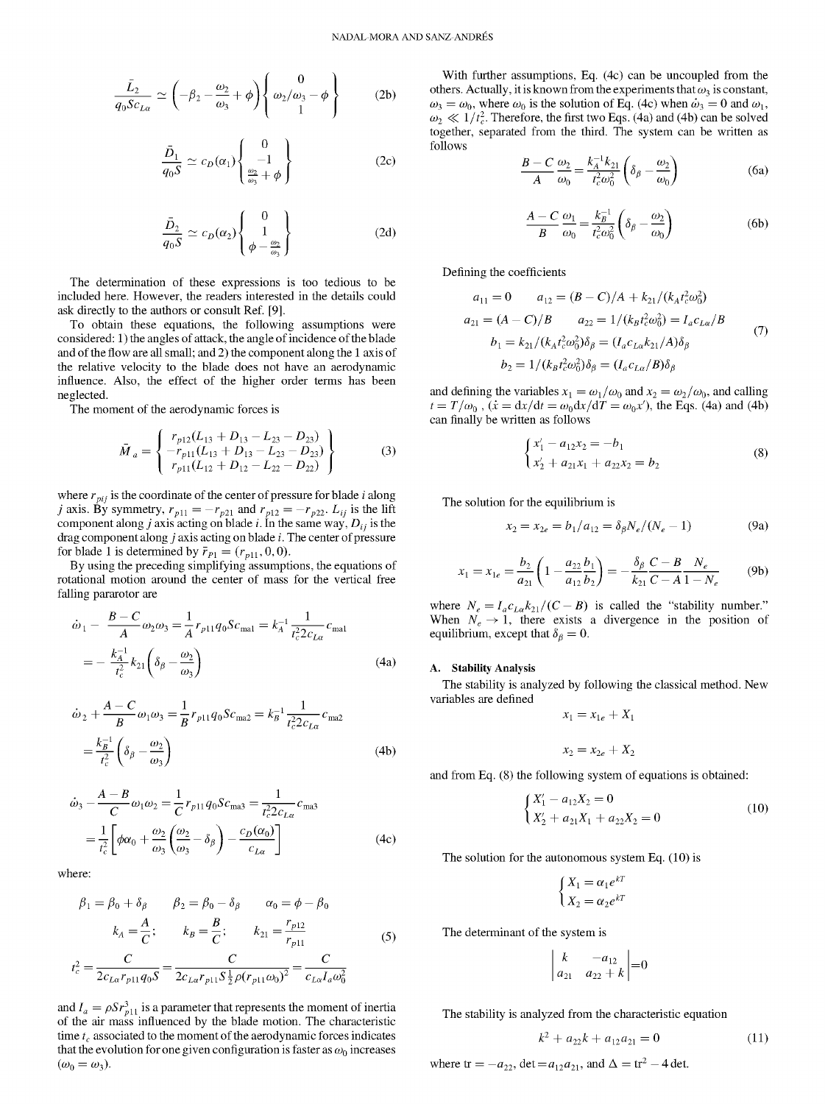$$
\frac{\bar{L}_2}{q_0Sc_{L\alpha}} \simeq \left(-\beta_2 - \frac{\omega_2}{\omega_3} + \phi\right) \begin{Bmatrix} 0\\ \omega_2/\omega_3 - \phi\\ 1 \end{Bmatrix}
$$
 (2b)

$$
\frac{\bar{D}_1}{q_0 S} \simeq c_D(\alpha_1) \begin{Bmatrix} 0\\ -1\\ \frac{\omega_2}{\omega_3} + \phi \end{Bmatrix}
$$
 (2c)

$$
\frac{\bar{D}_2}{q_0 S} \simeq c_D(\alpha_2) \begin{Bmatrix} 0\\1\\ \phi - \frac{\omega_2}{\omega_3} \end{Bmatrix}
$$
 (2d)

The determination of these expressions is too tedious to be included here. However, the readers interested in the details could ask directly to the authors or consult Ref. [9].

To obtain these equations, the following assumptions were considered: 1) the angles of attack, the angle of incidence of the blade and of the flow are all small; and 2) the component along the 1 axis of the relative velocity to the blade does not have an aerodynamic influence. Also, the effect of the higher order terms has been neglected.

The moment of the aerodynamic forces is

$$
\bar{M}_a = \begin{Bmatrix} r_{p12}(L_{13} + D_{13} - L_{23} - D_{23}) \\ -r_{p11}(L_{13} + D_{13} - L_{23} - D_{23}) \\ r_{p11}(L_{12} + D_{12} - L_{22} - D_{22}) \end{Bmatrix}
$$
 (3)

where  $r_{pi}$  is the coordinate of the center of pressure for blade i along j axis. By symmetry,  $r_{p11} = -r_{p21}$  and  $r_{p12} = -r_{p22}$ .  $L_{ij}$  is the lift component along j axis acting on blade i. In the same way,  $D_{ij}$  is the drag component along  $j$  axis acting on blade  $i$ . The center of pressure for blade 1 is determined by  $\bar{r}_{P1} = (r_{p11}, 0, 0)$ .

By using the preceding simplifying assumptions, the equations of rotational motion around the center of mass for the vertical free falling pararotor are

$$
\dot{\omega}_1 - \frac{B - C}{A} \omega_2 \omega_3 = \frac{1}{A} r_{p11} q_0 S c_{\text{mal}} = k_A^{-1} \frac{1}{t_c^2 2 c_{L\alpha}} c_{\text{mal}}
$$

$$
= -\frac{k_A^{-1}}{t_c^2} k_{21} \left( \delta_\beta - \frac{\omega_2}{\omega_3} \right)
$$
(4a)

$$
\dot{\omega}_2 + \frac{A - C}{B} \omega_1 \omega_3 = \frac{1}{B} r_{p11} q_0 S c_{\text{ma}2} = k_B^{-1} \frac{1}{t_c^2 2 c_{L\alpha}} c_{\text{ma}2}
$$

$$
= \frac{k_B^{-1}}{t_c^2} \left( \delta_\beta - \frac{\omega_2}{\omega_3} \right)
$$
(4b)

$$
\dot{\omega}_3 - \frac{A - B}{C} \omega_1 \omega_2 = \frac{1}{C} r_{p11} q_0 S c_{\text{ma}3} = \frac{1}{t_c^2 2 c_{L\alpha}} c_{\text{ma}3} \n= \frac{1}{t_c^2} \left[ \phi \alpha_0 + \frac{\omega_2}{\omega_3} \left( \frac{\omega_2}{\omega_3} - \delta_\beta \right) - \frac{c_D(\alpha_0)}{c_{L\alpha}} \right]
$$
\n(4c)

where:

$$
\beta_1 = \beta_0 + \delta_\beta \qquad \beta_2 = \beta_0 - \delta_\beta \qquad \alpha_0 = \phi - \beta_0
$$

$$
k_A = \frac{A}{C}; \qquad k_B = \frac{B}{C}; \qquad k_{21} = \frac{r_{p12}}{r_{p11}}
$$

$$
t_c^2 = \frac{C}{2c_{L\alpha}r_{p11}q_0S} = \frac{C}{2c_{L\alpha}r_{p11}S_{\frac{1}{2}}\rho(r_{p11}\omega_0)^2} = \frac{C}{c_{L\alpha}I_a\omega_0^2}
$$
(5)

and  $I_a = \rho S r_{p11}^3$  is a parameter that represents the moment of inertia of the air mass influenced by the blade motion. The characteristic time  $t_c$  associated to the moment of the aerodynamic forces indicates that the evolution for one given configuration is faster as  $\omega_0$  increases  $(\omega_0 = \omega_3)$ .

With further assumptions, Eq. (4c) can be uncoupled from the others. Actually, it is known from the experiments that  $\omega_3$  is constant,  $\omega_3 = \omega_0$ , where  $\omega_0$  is the solution of Eq. (4c) when  $\dot{\omega}_3 = 0$  and  $\omega_1$ ,  $\omega_2 \ll 1 / t_c^2$ . Therefore, the first two Eqs. (4a) and (4b) can be solved together, separated from the third. The system can be written as follows

$$
\frac{B-C}{A}\frac{\omega_2}{\omega_0} = \frac{k_A^{-1}k_{21}}{t_c^2\omega_0^2} \left(\delta_\beta - \frac{\omega_2}{\omega_0}\right)
$$
(6a)

$$
\frac{A-C}{B}\frac{\omega_1}{\omega_0} = \frac{k_B^{-1}}{t_c^2 \omega_0^2} \left(\delta_\beta - \frac{\omega_2}{\omega_0}\right)
$$
 (6b)

Defining the coefficients

$$
a_{11} = 0 \t a_{12} = (B - C)/A + k_{21}/(k_A t_c^2 \omega_0^2)
$$
  
\n
$$
a_{21} = (A - C)/B \t a_{22} = 1/(k_B t_c^2 \omega_0^2) = I_a c_{L\alpha}/B
$$
  
\n
$$
b_1 = k_{21}/(k_A t_c^2 \omega_0^2) \delta_\beta = (I_a c_{L\alpha} k_{21}/A) \delta_\beta
$$
  
\n
$$
b_2 = 1/(k_B t_c^2 \omega_0^2) \delta_\beta = (I_a c_{L\alpha}/B) \delta_\beta
$$
 (7)

and defining the variables  $x_1 = \omega_1 / \omega_0$  and  $x_2 = \omega_2 / \omega_0$ , and calling  $t = T/\omega_0$ ,  $(\dot{x} = dx/dt = \omega_0 dx/dT = \omega_0 x')$ , the Eqs. (4a) and (4b) can finally be written as follows

$$
\begin{cases} x_1' - a_{12}x_2 = -b_1 \\ x_2' + a_{21}x_1 + a_{22}x_2 = b_2 \end{cases}
$$
 (8)

The solution for the equilibrium is

$$
x_2 = x_{2e} = b_1/a_{12} = \delta_\beta N_e / (N_e - 1)
$$
 (9a)

$$
x_1 = x_{1e} = \frac{b_2}{a_{21}} \left( 1 - \frac{a_{22}b_1}{a_{12}b_2} \right) = -\frac{\delta_\beta}{k_{21}} \frac{C - B}{C - A} \frac{N_e}{1 - N_e}
$$
(9b)

where  $N_e = I_a c_{La} k_{21}/(C - B)$  is called the "stability number." When  $N_e \rightarrow 1$ , there exists a divergence in the position of equilibrium, except that  $\delta_{\beta} = 0$ .

## **A. Stability Analysis**

 $\overline{y}$ 

The stability is analyzed by following the classical method. New variables are defined

$$
x_1 = x_{1e} + X_1
$$

$$
x_2 = x_{2e} + X_2
$$

and from Eq. (8) the following system of equations is obtained:

$$
\begin{cases}\nX_1' - a_{12}X_2 = 0 \\
X_2' + a_{21}X_1 + a_{22}X_2 = 0\n\end{cases}
$$
\n(10)

The solution for the autonomous system Eq. (10) is

$$
\begin{cases}\nX_1 = \alpha_1 e^{kT} \\
X_2 = \alpha_2 e^{kT}\n\end{cases}
$$

The determinant of the system is

 $\begin{vmatrix} k & -a_{12} \\ a_{21} & a_{22} + k \end{vmatrix} = 0$ 

The stability is analyzed from the characteristic equation

$$
k^2 + a_{22}k + a_{12}a_{21} = 0 \tag{11}
$$

where  $tr = -a_{22}$ ,  $det = a_{12}a_{21}$ , and  $\Delta = tr^2 - 4 det$ .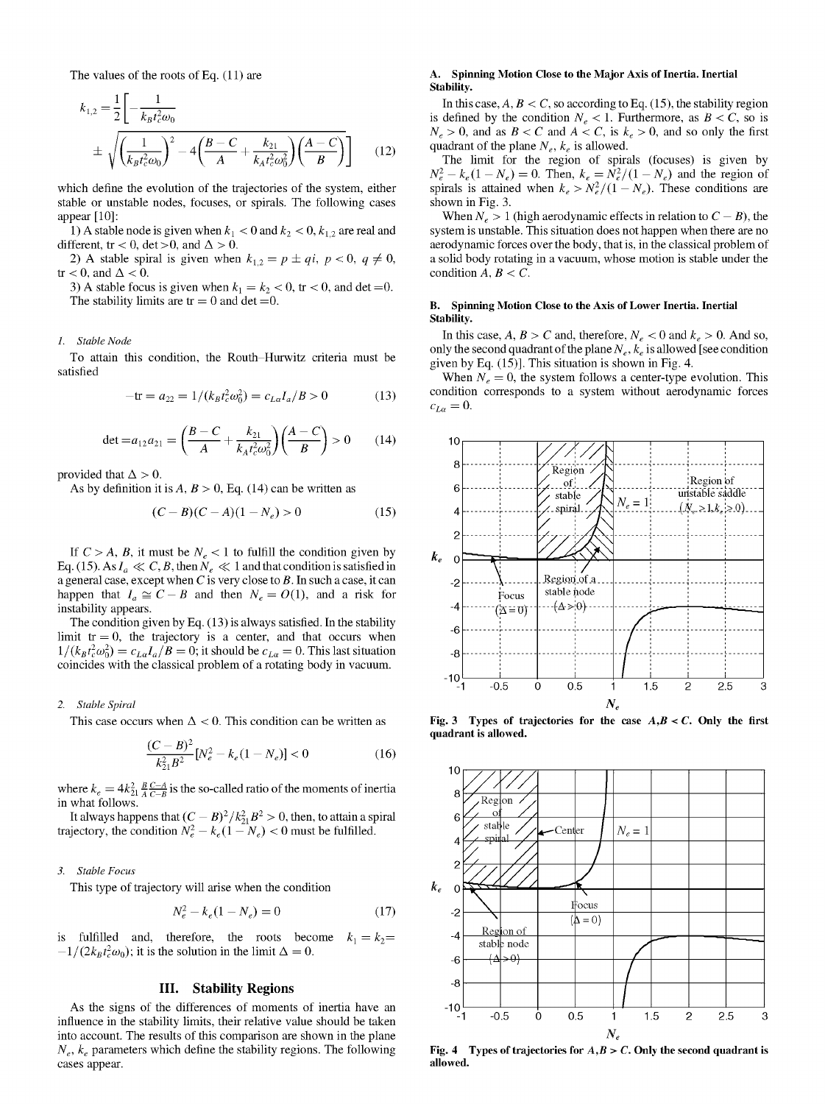The values of the roots of Eq. (11) are

$$
k_{1,2} = \frac{1}{2} \left[ -\frac{1}{k_B t_c^2 \omega_0} + \sqrt{\left(\frac{1}{k_B t_c^2 \omega_0}\right)^2 - 4\left(\frac{B - C}{A} + \frac{k_{21}}{k_A t_c^2 \omega_0^2}\right)\left(\frac{A - C}{B}\right)} \right]
$$
(12)

which define the evolution of the trajectories of the system, either stable or unstable nodes, focuses, or spirals. The following cases appear [10]:

1) A stable node is given when  $k_1 < 0$  and  $k_2 < 0$ ,  $k_{1,2}$  are real and different, tr < 0, det > 0, and  $\Delta$  > 0.

2) A stable spiral is given when  $k_{1,2} = p \pm qi$ ,  $p < 0$ ,  $q \neq 0$ ,  $tr < 0$ , and  $\Delta < 0$ .

3) A stable focus is given when  $k_1 = k_2 < 0$ , tr  $< 0$ , and det =0. The stability limits are  $tr = 0$  and  $det = 0$ .

# 1. *Stable Node*

To attain this condition, the Routh-Hurwitz criteria must be satisfied

$$
-\text{tr} = a_{22} = 1/(k_B t_c^2 \omega_0^2) = c_{La} I_a / B > 0 \tag{13}
$$

$$
\det = a_{12}a_{21} = \left(\frac{B-C}{A} + \frac{k_{21}}{k_A t_c^2 \omega_0^2}\right)\left(\frac{A-C}{B}\right) > 0 \tag{14}
$$

provided that  $\Delta > 0$ .

As by definition it is  $A, B > 0$ , Eq. (14) can be written as

$$
(C - B)(C - A)(1 - N_e) > 0 \tag{15}
$$

If  $C > A$ , B, it must be  $N_e < 1$  to fulfill the condition given by Eq. (15). As  $I_a \ll C$ , B, then  $N_e \ll 1$  and that condition is satisfied in a general case, except when C is very close to B. In such a case, it can happen that  $I_a \cong \overline{C - B}$  and then  $N_e = O(1)$ , and a risk for instability appears.

The condition given by Eq. (13) is always satisfied. In the stability limit  $tr = 0$ , the trajectory is a center, and that occurs when  $1/(k_B t_c^2 \omega_0^2) = c_{La} I_a / B = 0$ ; it should be  $c_{La} = 0$ . This last situation coincides with the classical problem of a rotating body in vacuum.

#### 2. *Stable Spiral*

This case occurs when  $\Delta < 0$ . This condition can be written as

$$
\frac{(C-B)^2}{k_{21}^2 B^2} [N_e^2 - k_e (1 - N_e)] < 0 \tag{16}
$$

where  $k_e = 4k_{21}^2 \frac{B}{A} \frac{C-A}{C-B}$  is the so-called ratio of the moments of inertia in what follows.

It always happens that  $(C - B)^2 / k_{21}^2 B^2 > 0$ , then, to attain a spiral trajectory, the condition  $N_e^2 - k_e (1 - N_e) < 0$  must be fulfilled.

# *3. Stable Focus*

This type of trajectory will arise when the condition

$$
N_e^2 - k_e(1 - N_e) = 0\tag{17}
$$

is fulfilled and, therefore, the roots become  $k_1 = k_2 =$  $-1/(2k_Bt_c^2\omega_0)$ ; it is the solution in the limit  $\Delta = 0$ .

# **III. Stability Regions**

As the signs of the differences of moments of inertia have an influence in the stability limits, their relative value should be taken into account. The results of this comparison are shown in the plane  $N_e$ ,  $k_e$  parameters which define the stability regions. The following cases appear.

#### **A. Spinning Motion Close to the Major Axis of Inertia. Inertial Stability.**

In this case,  $A, B < C$ , so according to Eq. (15), the stability region is defined by the condition  $N_e$  < 1. Furthermore, as  $B < C$ , so is  $N_e > 0$ , and as  $B < C$  and  $A < C$ , is  $k_e > 0$ , and so only the first quadrant of the plane *Ne, ke* is allowed.

The limit for the region of spirals (focuses) is given by  $N_e^2 - k_e (1 - N_e) = 0$ . Then,  $k_e = N_e^2/(1 - N_e)$  and the region of spirals is attained when  $k_e > N_e^2/(1 - N_e)$ . These conditions are shown in Fig. 3.

When  $N_e > 1$  (high aerodynamic effects in relation to  $C - B$ ), the system is unstable. This situation does not happen when there are no aerodynamic forces over the body, that is, in the classical problem of a solid body rotating in a vacuum, whose motion is stable under the condition  $A, B < C$ .

## **B. Spinning Motion Close to the Axis of Lower Inertia. Inertial Stability.**

In this case,  $A, B > C$  and, therefore,  $N_e < 0$  and  $k_e > 0$ . And so, only the second quadrant of the plane  $N_e$ ,  $k_e$  is allowed [see condition given by Eq. (15)]. This situation is shown in Fig. 4.

When  $N_e = 0$ , the system follows a center-type evolution. This condition corresponds to a system without aerodynamic forces  $c_{L\alpha}=0.$ 



**Fig. 3 Types of trajectories for the case** *A,B < C.* **Only the first quadrant is allowed.** 



**Fig. 4 Types of trajectories for** *A,B > C.* **Only the second quadrant is allowed.**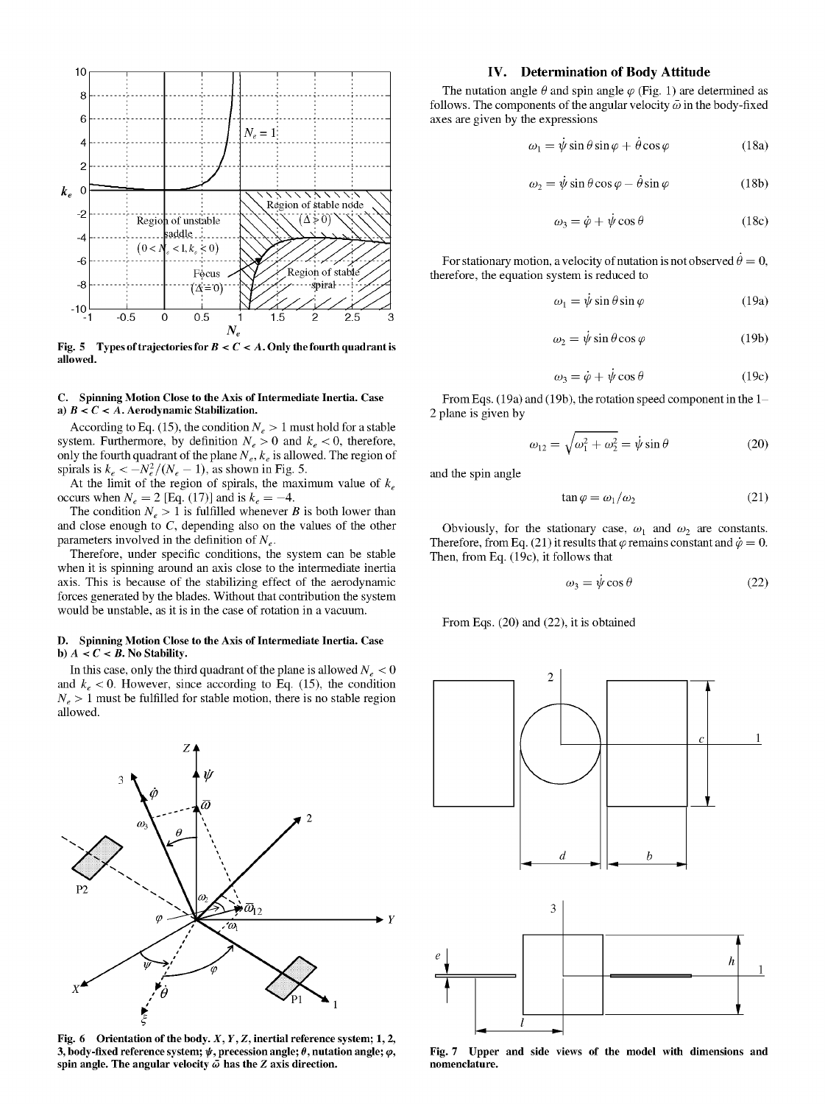

**Fig. 5 Types of trajectories for** *B < C < A.* **Only the fourth quadrant is allowed.** 

## **C. Spinning Motion Close to the Axis of Intermediate Inertia. Case a)** *B < C < A.* **Aerodynamic Stabilization.**

According to Eq. (15), the condition  $N_e > 1$  must hold for a stable system. Furthermore, by definition  $N_e > 0$  and  $k_e < 0$ , therefore, only the fourth quadrant of the plane *Ne, ke* is allowed. The region of spirals is  $k_e < -N_e^2/(N_e - 1)$ , as shown in Fig. 5.

At the limit of the region of spirals, the maximum value of *k<sup>e</sup>* occurs when  $N_e = 2$  [Eq. (17)] and is  $k_e = -4$ .

The condition  $N_e > 1$  is fulfilled whenever B is both lower than and close enough to C, depending also on the values of the other parameters involved in the definition of  $N_e$ .

Therefore, under specific conditions, the system can be stable when it is spinning around an axis close to the intermediate inertia axis. This is because of the stabilizing effect of the aerodynamic forces generated by the blades. Without that contribution the system would be unstable, as it is in the case of rotation in a vacuum.

## **D. Spinning Motion Close to the Axis of Intermediate Inertia. Case b**)  $A \leq C \leq B$ . No Stability.

In this case, only the third quadrant of the plane is allowed  $N_e < 0$ and  $k_e < 0$ . However, since according to Eq. (15), the condition  $N_e > 1$  must be fulfilled for stable motion, there is no stable region allowed.



**Fig. 6 Orientation of the body. X,** *Y,* **Z, inertial reference system; 1, 2,**  3, body-fixed reference system;  $\psi$ , precession angle;  $\theta$ , nutation angle;  $\varphi$ , spin angle. The angular velocity  $\bar{\omega}$  has the Z axis direction.

## **IV. Determination of Body Attitude**

The nutation angle  $\theta$  and spin angle  $\varphi$  (Fig. 1) are determined as follows. The components of the angular velocity  $\bar{\omega}$  in the body-fixed axes are given by the expressions

$$
\omega_1 = \psi \sin \theta \sin \varphi + \theta \cos \varphi \tag{18a}
$$

$$
\omega_2 = \dot{\psi} \sin \theta \cos \varphi - \dot{\theta} \sin \varphi \tag{18b}
$$

$$
\omega_3 = \dot{\varphi} + \dot{\psi}\cos\theta\tag{18c}
$$

For stationary motion, a velocity of nutation is not observed  $\theta = 0$ , therefore, the equation system is reduced to

$$
\omega_1 = \psi \sin \theta \sin \varphi \tag{19a}
$$

$$
\omega_2 = \dot{\psi} \sin \theta \cos \varphi \tag{19b}
$$

$$
\omega_3 = \dot{\varphi} + \psi \cos \theta \tag{19c}
$$

From Eqs. (19a) and (19b), the rotation speed component in the 1-2 plane is given by

$$
\omega_{12} = \sqrt{\omega_1^2 + \omega_2^2} = \dot{\psi}\sin\theta\tag{20}
$$

and the spin angle

$$
\tan \varphi = \omega_1 / \omega_2 \tag{21}
$$

Obviously, for the stationary case,  $\omega_1$  and  $\omega_2$  are constants. Therefore, from Eq. (21) it results that  $\varphi$  remains constant and  $\dot{\varphi} = 0$ . Then, from Eq. (19c), it follows that

$$
\omega_3 = \dot{\psi} \cos \theta \tag{22}
$$

From Eqs. (20) and (22), it is obtained



**Fig. 7 Upper and side views of the model with dimensions and nomenclature.**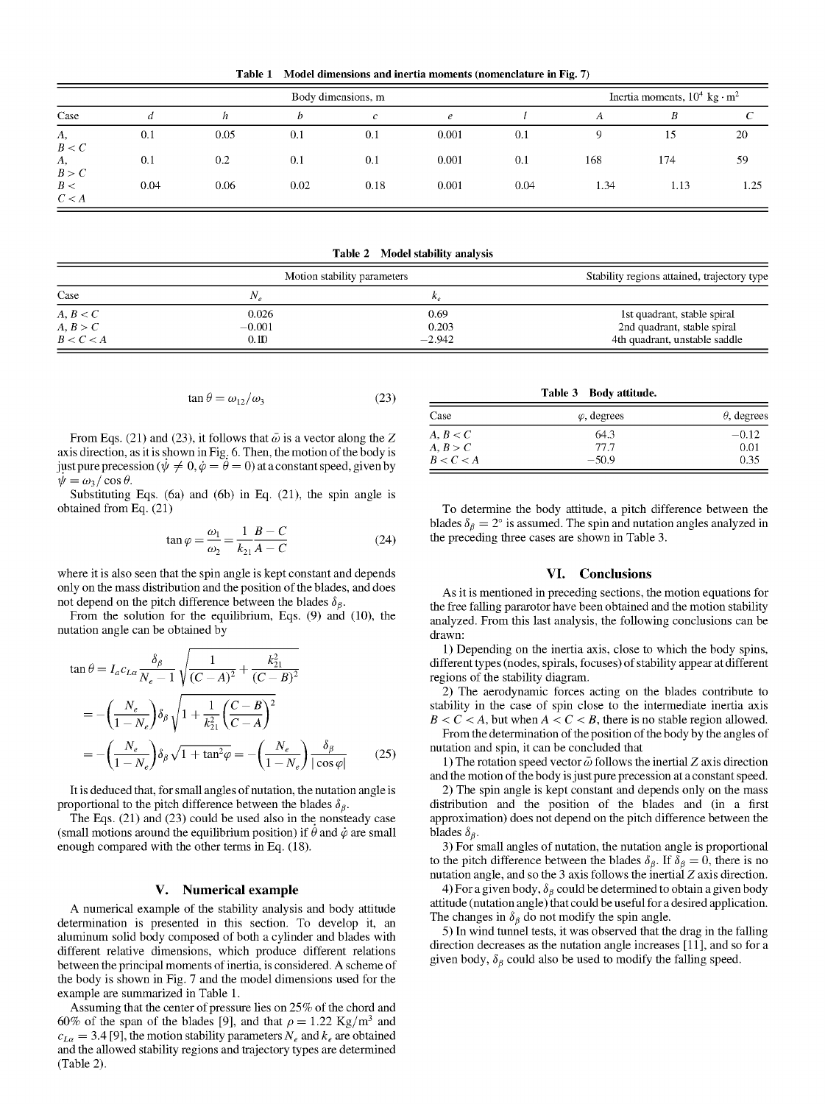**Table 1 Model dimensions and inertia moments (nomenclature in Fig. 7)** 

|              | Body dimensions, m |      |      |      |       |      | Inertia moments, $10^4$ kg $\cdot$ m <sup>2</sup> |      |      |  |
|--------------|--------------------|------|------|------|-------|------|---------------------------------------------------|------|------|--|
| Case         |                    |      | n    | c    | e.    |      |                                                   |      |      |  |
| А,<br>B < C  | 0.1                | 0.05 | 0.1  | 0.1  | 0.001 | 0.1  |                                                   | 15   | 20   |  |
| А,<br>B > C  | 0.1                | 0.2  | 0.1  | 0.1  | 0.001 | 0.1  | 168                                               | 174  | 59   |  |
| B <<br>C < A | 0.04               | 0.06 | 0.02 | 0.18 | 0.001 | 0.04 | 1.34                                              | 1.13 | 1.25 |  |

**Table 2 Model stability analysis** 

|           | Motion stability parameters |          | Stability regions attained, trajectory type |
|-----------|-----------------------------|----------|---------------------------------------------|
| Case      |                             |          |                                             |
| A, B < C  | 0.026                       | 0.69     | 1st quadrant, stable spiral                 |
| A, B > C  | $-0.001$                    | 0.203    | 2nd quadrant, stable spiral                 |
| B < C < A | 0. ID                       | $-2.942$ | 4th quadrant, unstable saddle               |

$$
\tan \theta = \omega_{12}/\omega_3 \tag{23}
$$

From Eqs. (21) and (23), it follows that  $\bar{\omega}$  is a vector along the Z axis direction, as it is shown in Fig. 6. Then, the motion of the body is just pure precession ( $\dot{\psi} \neq 0, \dot{\varphi} = \theta = 0$ ) at a constant speed, given by  $\psi = \omega_3 / \cos \theta$ .

Substituting Eqs. (6a) and (6b) in Eq. (21), the spin angle is obtained from Eq. (21)

$$
\tan \varphi = \frac{\omega_1}{\omega_2} = \frac{1}{k_{21}} \frac{B - C}{A - C}
$$
 (24)

where it is also seen that the spin angle is kept constant and depends only on the mass distribution and the position of the blades, and does not depend on the pitch difference between the blades  $\delta_{\beta}$ .

From the solution for the equilibrium, Eqs. (9) and (10), the nutation angle can be obtained by

$$
\tan \theta = I_a c_{L\alpha} \frac{\delta_\beta}{N_e - 1} \sqrt{\frac{1}{(C - A)^2} + \frac{k_{21}^2}{(C - B)^2}}
$$
  
=  $-\left(\frac{N_e}{1 - N_e}\right) \delta_\beta \sqrt{1 + \frac{1}{k_{21}^2} \left(\frac{C - B}{C - A}\right)^2}$   
=  $-\left(\frac{N_e}{1 - N_e}\right) \delta_\beta \sqrt{1 + \tan^2 \varphi} = -\left(\frac{N_e}{1 - N_e}\right) \frac{\delta_\beta}{|\cos \varphi|}$  (25)

It is deduced that, for small angles of nutation, the nutation angle is proportional to the pitch difference between the blades  $\delta_{\beta}$ .

The Eqs. (21) and (23) could be used also in the nonsteady case (small motions around the equilibrium position) if  $\theta$  and  $\dot{\varphi}$  are small enough compared with the other terms in Eq. (18).

## **V. Numerical example**

A numerical example of the stability analysis and body attitude determination is presented in this section. To develop it, an aluminum solid body composed of both a cylinder and blades with different relative dimensions, which produce different relations between the principal moments of inertia, is considered. A scheme of the body is shown in Fig. 7 and the model dimensions used for the example are summarized in Table 1.

Assuming that the center of pressure lies on 25% of the chord and 60% of the span of the blades [9], and that  $\rho = 1.22 \text{ Kg/m}^3$  and  $c_{La} = 3.4$  [9], the motion stability parameters  $N_e$  and  $k_e$  are obtained and the allowed stability regions and trajectory types are determined (Table 2).

Table 3 Body attitude.

| Case         | $\varphi$ , degrees | $\theta$ , degrees |  |
|--------------|---------------------|--------------------|--|
| $A, B \lt C$ | 64.3                | $-0.12$            |  |
| A, B > C     | 77.7                | 0.01               |  |
| B < C < A    | $-50.9$             | 0.35               |  |

To determine the body attitude, a pitch difference between the blades  $\delta_{\beta} = 2^{\circ}$  is assumed. The spin and nutation angles analyzed in the preceding three cases are shown in Table 3.

# **VI. Conclusions**

As it is mentioned in preceding sections, the motion equations for the free falling pararotor have been obtained and the motion stability analyzed. From this last analysis, the following conclusions can be drawn:

1) Depending on the inertia axis, close to which the body spins, different types (nodes, spirals, focuses) of stability appear at different regions of the stability diagram.

2) The aerodynamic forces acting on the blades contribute to stability in the case of spin close to the intermediate inertia axis  $B < C < A$ , but when  $A < C < B$ , there is no stable region allowed.

From the determination of the position of the body by the angles of nutation and spin, it can be concluded that

1) The rotation speed vector  $\bar{\omega}$  follows the inertial Z axis direction and the motion of the body is just pure precession at a constant speed.

2) The spin angle is kept constant and depends only on the mass distribution and the position of the blades and (in a first approximation) does not depend on the pitch difference between the blades  $\delta_{\beta}$ .

3) For small angles of nutation, the nutation angle is proportional to the pitch difference between the blades  $\delta_{\beta}$ . If  $\delta_{\beta} = 0$ , there is no nutation angle, and so the 3 axis follows the inertial Z axis direction.

4) For a given body,  $\delta_{\beta}$  could be determined to obtain a given body attitude (nutation angle) that could be useful for a desired application. The changes in  $\delta_{\beta}$  do not modify the spin angle.

5) In wind tunnel tests, it was observed that the drag in the falling direction decreases as the nutation angle increases [11], and so fora given body,  $\delta_{\beta}$  could also be used to modify the falling speed.